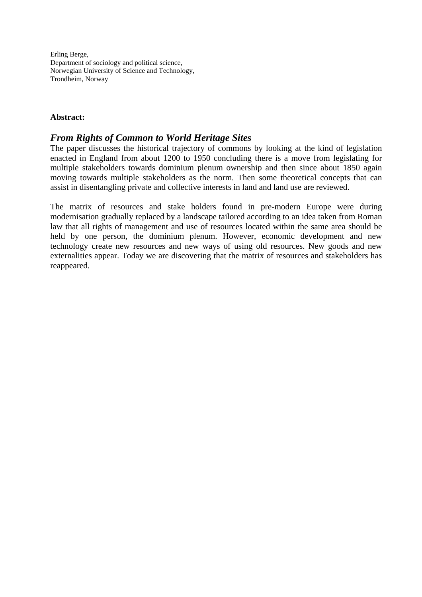Erling Berge, Department of sociology and political science, Norwegian University of Science and Technology, Trondheim, Norway

## **Abstract:**

## *From Rights of Common to World Heritage Sites*

The paper discusses the historical trajectory of commons by looking at the kind of legislation enacted in England from about 1200 to 1950 concluding there is a move from legislating for multiple stakeholders towards dominium plenum ownership and then since about 1850 again moving towards multiple stakeholders as the norm. Then some theoretical concepts that can assist in disentangling private and collective interests in land and land use are reviewed.

The matrix of resources and stake holders found in pre-modern Europe were during modernisation gradually replaced by a landscape tailored according to an idea taken from Roman law that all rights of management and use of resources located within the same area should be held by one person, the dominium plenum. However, economic development and new technology create new resources and new ways of using old resources. New goods and new externalities appear. Today we are discovering that the matrix of resources and stakeholders has reappeared.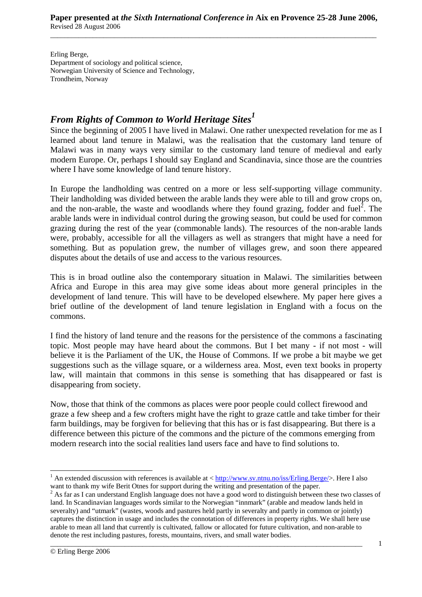Erling Berge, Department of sociology and political science, Norwegian University of Science and Technology, Trondheim, Norway

## *From Rights of Common to World Heritage Sites1*

Since the beginning of 2005 I have lived in Malawi. One rather unexpected revelation for me as I learned about land tenure in Malawi, was the realisation that the customary land tenure of Malawi was in many ways very similar to the customary land tenure of medieval and early modern Europe. Or, perhaps I should say England and Scandinavia, since those are the countries where I have some knowledge of land tenure history.

In Europe the landholding was centred on a more or less self-supporting village community. Their landholding was divided between the arable lands they were able to till and grow crops on, and the non-arable, the waste and woodlands where they found grazing, fodder and fuel<sup>2</sup>. The arable lands were in individual control during the growing season, but could be used for common grazing during the rest of the year (commonable lands). The resources of the non-arable lands were, probably, accessible for all the villagers as well as strangers that might have a need for something. But as population grew, the number of villages grew, and soon there appeared disputes about the details of use and access to the various resources.

This is in broad outline also the contemporary situation in Malawi. The similarities between Africa and Europe in this area may give some ideas about more general principles in the development of land tenure. This will have to be developed elsewhere. My paper here gives a brief outline of the development of land tenure legislation in England with a focus on the commons.

I find the history of land tenure and the reasons for the persistence of the commons a fascinating topic. Most people may have heard about the commons. But I bet many - if not most - will believe it is the Parliament of the UK, the House of Commons. If we probe a bit maybe we get suggestions such as the village square, or a wilderness area. Most, even text books in property law, will maintain that commons in this sense is something that has disappeared or fast is disappearing from society.

Now, those that think of the commons as places were poor people could collect firewood and graze a few sheep and a few crofters might have the right to graze cattle and take timber for their farm buildings, may be forgiven for believing that this has or is fast disappearing. But there is a difference between this picture of the commons and the picture of the commons emerging from modern research into the social realities land users face and have to find solutions to.

\_\_\_\_\_\_\_\_\_\_\_\_\_\_\_\_\_\_\_\_\_\_\_\_\_\_\_\_\_\_\_\_\_\_\_\_\_\_\_\_\_\_\_\_\_\_\_\_\_\_\_\_\_\_\_\_\_\_\_\_\_\_\_\_\_\_\_\_\_\_\_\_\_\_\_\_\_\_\_\_\_\_\_\_\_\_\_\_

 $\overline{\phantom{a}}$ 

<sup>&</sup>lt;sup>1</sup> An extended discussion with references is available at  $\langle \frac{http://www.sv.intnu.no/iss/Erling. Berge/}{$ . Here I also want to thank my wife Berit Otnes for support during the writing and presentation of the paper.

<sup>&</sup>lt;sup>2</sup> As far as I can understand English language does not have a good word to distinguish between these two classes of land. In Scandinavian languages words similar to the Norwegian "innmark" (arable and meadow lands held in severalty) and "utmark" (wastes, woods and pastures held partly in severalty and partly in common or jointly) captures the distinction in usage and includes the connotation of differences in property rights. We shall here use arable to mean all land that currently is cultivated, fallow or allocated for future cultivation, and non-arable to denote the rest including pastures, forests, mountains, rivers, and small water bodies.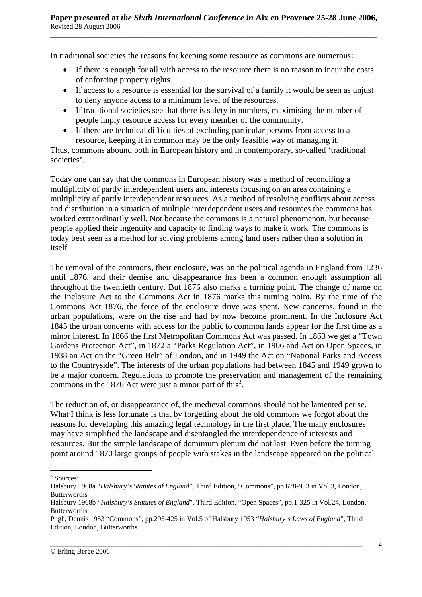In traditional societies the reasons for keeping some resource as commons are numerous:

- If there is enough for all with access to the resource there is no reason to incur the costs of enforcing property rights.
- If access to a resource is essential for the survival of a family it would be seen as unjust to deny anyone access to a minimum level of the resources.
- If traditional societies see that there is safety in numbers, maximising the number of people imply resource access for every member of the community.
- If there are technical difficulties of excluding particular persons from access to a resource, keeping it in common may be the only feasible way of managing it.

Thus, commons abound both in European history and in contemporary, so-called 'traditional societies'.

Today one can say that the commons in European history was a method of reconciling a multiplicity of partly interdependent users and interests focusing on an area containing a multiplicity of partly interdependent resources. As a method of resolving conflicts about access and distribution in a situation of multiple interdependent users and resources the commons has worked extraordinarily well. Not because the commons is a natural phenomenon, but because people applied their ingenuity and capacity to finding ways to make it work. The commons is today best seen as a method for solving problems among land users rather than a solution in itself.

The removal of the commons, their enclosure, was on the political agenda in England from 1236 until 1876, and their demise and disappearance has been a common enough assumption all throughout the twentieth century. But 1876 also marks a turning point. The change of name on the Inclosure Act to the Commons Act in 1876 marks this turning point. By the time of the Commons Act 1876, the force of the enclosure drive was spent. New concerns, found in the urban populations, were on the rise and had by now become prominent. In the Inclosure Act 1845 the urban concerns with access for the public to common lands appear for the first time as a minor interest. In 1866 the first Metropolitan Commons Act was passed. In 1863 we get a "Town Gardens Protection Act", in 1872 a "Parks Regulation Act", in 1906 and Act on Open Spaces, in 1938 an Act on the "Green Belt" of London, and in 1949 the Act on "National Parks and Access to the Countryside". The interests of the urban populations had between 1845 and 1949 grown to be a major concern. Regulations to promote the preservation and management of the remaining commons in the 1876 Act were just a minor part of this<sup>3</sup>.

The reduction of, or disappearance of, the medieval commons should not be lamented per se. What I think is less fortunate is that by forgetting about the old commons we forgot about the reasons for developing this amazing legal technology in the first place. The many enclosures may have simplified the landscape and disentangled the interdependence of interests and resources. But the simple landscape of dominium plenum did not last. Even before the turning point around 1870 large groups of people with stakes in the landscape appeared on the political

 $\overline{\phantom{a}}$ 

\_\_\_\_\_\_\_\_\_\_\_\_\_\_\_\_\_\_\_\_\_\_\_\_\_\_\_\_\_\_\_\_\_\_\_\_\_\_\_\_\_\_\_\_\_\_\_\_\_\_\_\_\_\_\_\_\_\_\_\_\_\_\_\_\_\_\_\_\_\_\_\_\_\_\_\_\_\_\_\_\_\_\_\_\_\_\_\_

<sup>&</sup>lt;sup>3</sup> Sources:

Halsbury 1968a "*Halsbury's Statutes of England*", Third Edition, "Commons", pp.678-933 in Vol.3, London, Butterworths

Halsbury 1968b "*Halsbury's Statutes of England*", Third Edition, "Open Spaces", pp.1-325 in Vol.24, London, Butterworths

Pugh, Dennis 1953 "Commons", pp.295-425 in Vol.5 of Halsbury 1953 "*Halsbury's Laws of England*", Third Edition, London, Butterworths